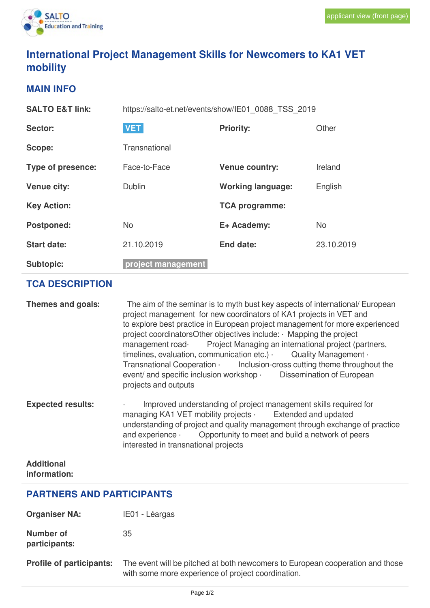

# **International Project Management Skills for Newcomers to KA1 VET mobility**

#### **MAIN INFO**

| <b>SALTO E&amp;T link:</b> | https://salto-et.net/events/show/IE01 0088 TSS 2019 |                          |            |
|----------------------------|-----------------------------------------------------|--------------------------|------------|
| Sector:                    | <b>VET</b>                                          | <b>Priority:</b>         | Other      |
| Scope:                     | Transnational                                       |                          |            |
| Type of presence:          | Face-to-Face                                        | <b>Venue country:</b>    | Ireland    |
| <b>Venue city:</b>         | <b>Dublin</b>                                       | <b>Working language:</b> | English    |
| <b>Key Action:</b>         |                                                     | <b>TCA programme:</b>    |            |
| <b>Postponed:</b>          | <b>No</b>                                           | E+ Academy:              | <b>No</b>  |
| <b>Start date:</b>         | 21.10.2019                                          | <b>End date:</b>         | 23.10.2019 |
| <b>Subtopic:</b>           | project management                                  |                          |            |

## **TCA DESCRIPTION**

| Themes and goals:        | The aim of the seminar is to myth bust key aspects of international/ European<br>project management for new coordinators of KA1 projects in VET and<br>to explore best practice in European project management for more experienced<br>project coordinatorsOther objectives include: Mapping the project<br>management road Project Managing an international project (partners,<br>timelines, evaluation, communication etc.) $\cdot$ Quality Management $\cdot$<br>Transnational Cooperation Inclusion-cross cutting theme throughout the<br>event/ and specific inclusion workshop · Dissemination of European<br>projects and outputs |
|--------------------------|-------------------------------------------------------------------------------------------------------------------------------------------------------------------------------------------------------------------------------------------------------------------------------------------------------------------------------------------------------------------------------------------------------------------------------------------------------------------------------------------------------------------------------------------------------------------------------------------------------------------------------------------|
| <b>Expected results:</b> | Improved understanding of project management skills required for<br>$\epsilon$<br>managing KA1 VET mobility projects Extended and updated<br>understanding of project and quality management through exchange of practice<br>and experience Opportunity to meet and build a network of peers<br>interested in transnational projects                                                                                                                                                                                                                                                                                                      |
| <b>Additional</b>        |                                                                                                                                                                                                                                                                                                                                                                                                                                                                                                                                                                                                                                           |

# **information:**

### **PARTNERS AND PARTICIPANTS**

**Organiser NA:** IE01 - Léargas

**Number of participants:** 35

**Profile of participants:** The event will be pitched at both newcomers to European cooperation and those with some more experience of project coordination.